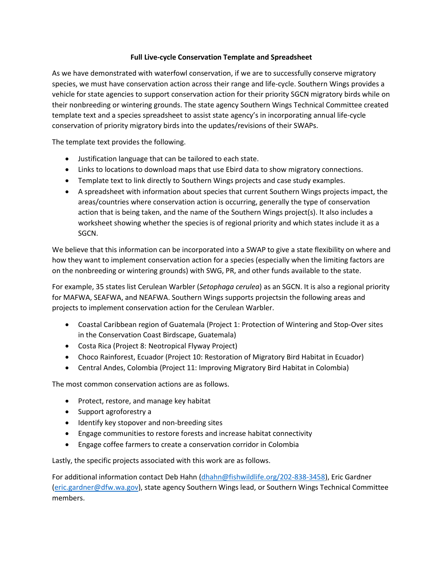## **Full Live-cycle Conservation Template and Spreadsheet**

As we have demonstrated with waterfowl conservation, if we are to successfully conserve migratory species, we must have conservation action across their range and life-cycle. Southern Wings provides a vehicle for state agencies to support conservation action for their priority SGCN migratory birds while on their nonbreeding or wintering grounds. The state agency Southern Wings Technical Committee created template text and a species spreadsheet to assist state agency's in incorporating annual life-cycle conservation of priority migratory birds into the updates/revisions of their SWAPs.

The template text provides the following.

- Justification language that can be tailored to each state.
- Links to locations to download maps that use Ebird data to show migratory connections.
- Template text to link directly to Southern Wings projects and case study examples.
- A spreadsheet with information about species that current Southern Wings projects impact, the areas/countries where conservation action is occurring, generally the type of conservation action that is being taken, and the name of the Southern Wings project(s). It also includes a worksheet showing whether the species is of regional priority and which states include it as a SGCN.

We believe that this information can be incorporated into a SWAP to give a state flexibility on where and how they want to implement conservation action for a species (especially when the limiting factors are on the nonbreeding or wintering grounds) with SWG, PR, and other funds available to the state.

For example, 35 states list Cerulean Warbler (*Setophaga cerulea*) as an SGCN. It is also a regional priority for MAFWA, SEAFWA, and NEAFWA. Southern Wings supports projectsin the following areas and projects to implement conservation action for the Cerulean Warbler.

- Coastal Caribbean region of Guatemala (Project 1: Protection of Wintering and Stop-Over sites in the Conservation Coast Birdscape, Guatemala)
- Costa Rica (Project 8: Neotropical Flyway Project)
- Choco Rainforest, Ecuador (Project 10: Restoration of Migratory Bird Habitat in Ecuador)
- Central Andes, Colombia (Project 11: Improving Migratory Bird Habitat in Colombia)

The most common conservation actions are as follows.

- Protect, restore, and manage key habitat
- Support agroforestry a
- Identify key stopover and non-breeding sites
- Engage communities to restore forests and increase habitat connectivity
- Engage coffee farmers to create a conservation corridor in Colombia

Lastly, the specific projects associated with this work are as follows.

For additional information contact Deb Hahn [\(dhahn@fishwildlife.org/202-838-3458\)](mailto:dhahn@fishwildlife.org/202-838-3458), Eric Gardner [\(eric.gardner@dfw.wa.gov\)](mailto:eric.gardner@dfw.wa.gov), state agency Southern Wings lead, or Southern Wings Technical Committee members.